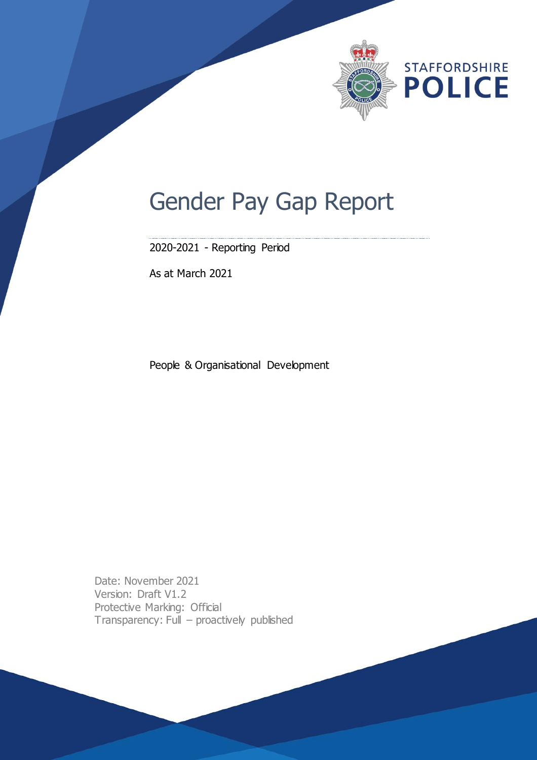

# Gender Pay Gap Report

2020-2021 - Reporting Period

As at March 2021

People & Organisational Development

Date: November 2021 Version: Draft V1.2 Protective Marking: Official Transparency: Full – proactively published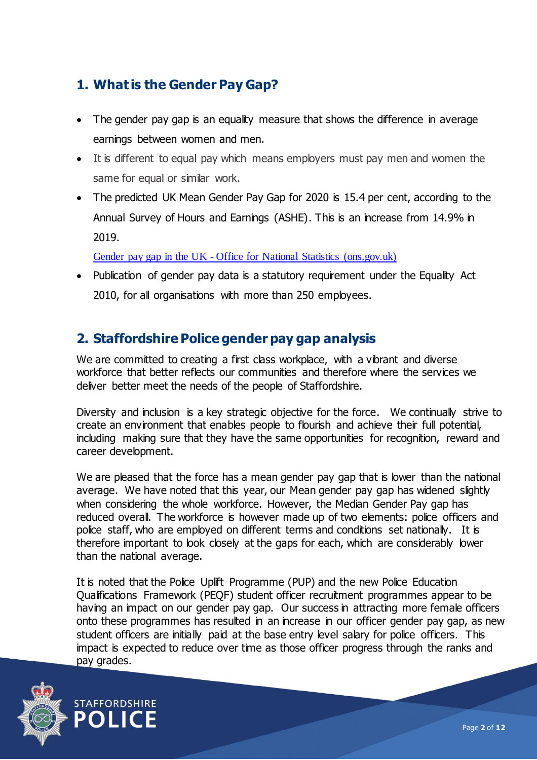# **1. What is the Gender Pay Gap?**

- The gender pay gap is an equality measure that shows the difference in average earnings between women and men.
- It is different to equal pay which means employers must pay men and women the same for equal or similar work.
- The predicted UK Mean Gender Pay Gap for 2020 is 15.4 per cent, according to the Annual Survey of Hours and Earnings (ASHE). This is an increase from 14.9% in 2019.

Gender pay gap in the UK - [Office for National Statistics \(ons.gov.uk\)](https://www.ons.gov.uk/employmentandlabourmarket/peopleinwork/earningsandworkinghours/bulletins/genderpaygapintheuk/2021#the-gender-pay-gap)

• Publication of gender pay data is a statutory requirement under the Equality Act 2010, for all organisations with more than 250 employees.

## **2. Staffordshire Police gender pay gap analysis**

We are committed to creating a first class workplace, with a vibrant and diverse workforce that better reflects our communities and therefore where the services we deliver better meet the needs of the people of Staffordshire.

Diversity and inclusion is a key strategic objective for the force. We continually strive to create an environment that enables people to flourish and achieve their full potential, including making sure that they have the same opportunities for recognition, reward and career development.

We are pleased that the force has a mean gender pay gap that is lower than the national average. We have noted that this year, our Mean gender pay gap has widened slightly when considering the whole workforce. However, the Median Gender Pay gap has reduced overall. The workforce is however made up of two elements: police officers and police staff, who are employed on different terms and conditions set nationally. It is therefore important to look closely at the gaps for each, which are considerably lower than the national average.

It is noted that the Police Uplift Programme (PUP) and the new Police Education Qualifications Framework (PEQF) student officer recruitment programmes appear to be having an impact on our gender pay gap. Our success in attracting more female officers onto these programmes has resulted in an increase in our officer gender pay gap, as new student officers are initially paid at the base entry level salary for police officers. This impact is expected to reduce over time as those officer progress through the ranks and pay grades.



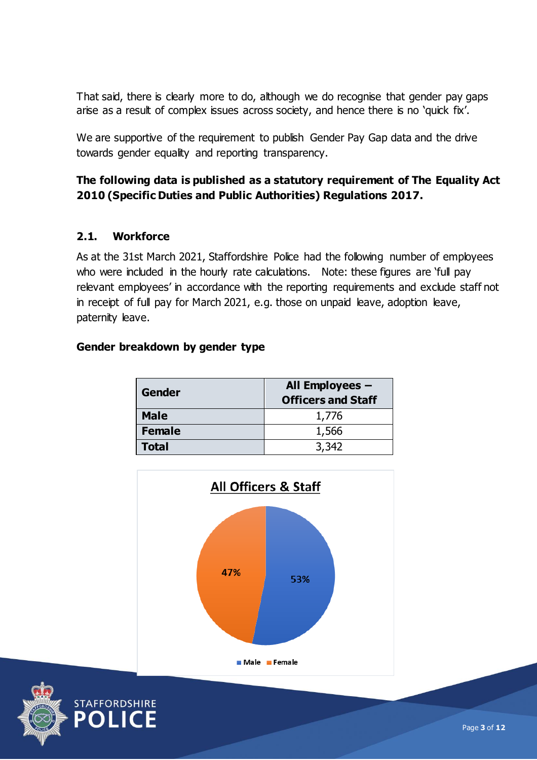That said, there is clearly more to do, although we do recognise that gender pay gaps arise as a result of complex issues across society, and hence there is no 'quick fix'.

We are supportive of the requirement to publish Gender Pay Gap data and the drive towards gender equality and reporting transparency.

## **The following data is published as a statutory requirement of The Equality Act 2010 (Specific Duties and Public Authorities) Regulations 2017.**

#### **2.1. Workforce**

As at the 31st March 2021, Staffordshire Police had the following number of employees who were included in the hourly rate calculations. Note: these figures are 'full pay relevant employees' in accordance with the reporting requirements and exclude staff not in receipt of full pay for March 2021, e.g. those on unpaid leave, adoption leave, paternity leave.

#### **Gender breakdown by gender type**

| Gender        | All Employees -<br><b>Officers and Staff</b> |
|---------------|----------------------------------------------|
| <b>Male</b>   | 1,776                                        |
| <b>Female</b> | 1,566                                        |
| Total         | 3,342                                        |



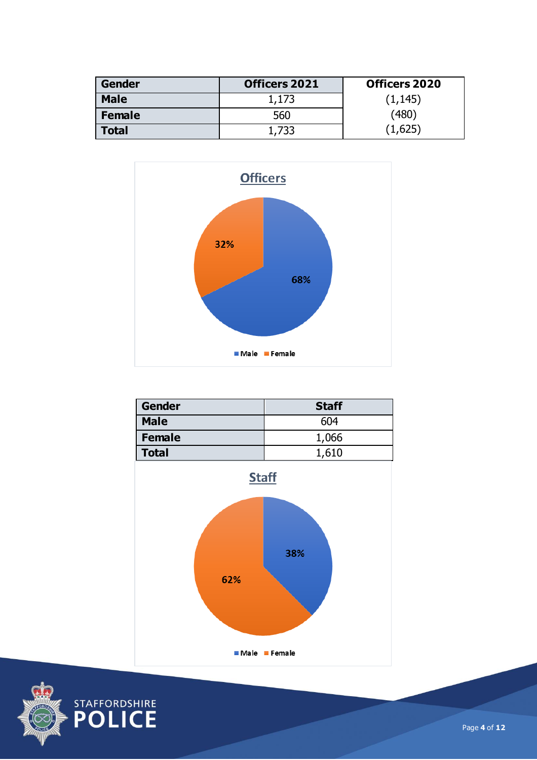| <b>Gender</b> | <b>Officers 2021</b> | Officers 2020 |
|---------------|----------------------|---------------|
| <b>Male</b>   | 1,173                | (1, 145)      |
| <b>Female</b> | 560                  | (480)         |
| <b>Total</b>  | 1,733                | (1,625)       |



| <b>Gender</b> | <b>Staff</b> |
|---------------|--------------|
| <b>Male</b>   | 604          |
| <b>Female</b> | 1,066        |
| <b>Total</b>  | 1,610        |



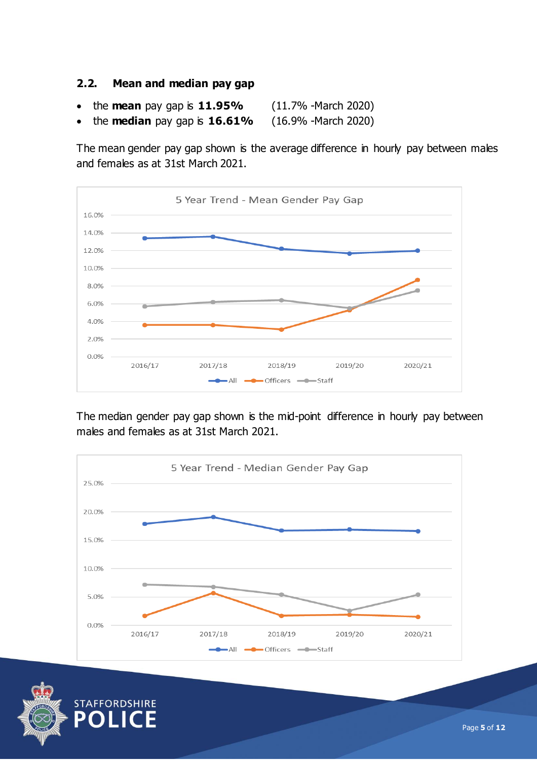#### **2.2. Mean and median pay gap**

- the **mean** pay gap is **11.95%** (11.7% -March 2020)
- the **median** pay gap is **16.61%** (16.9% -March 2020)

The mean gender pay gap shown is the average difference in hourly pay between males and females as at 31st March 2021.



The median gender pay gap shown is the mid-point difference in hourly pay between males and females as at 31st March 2021.



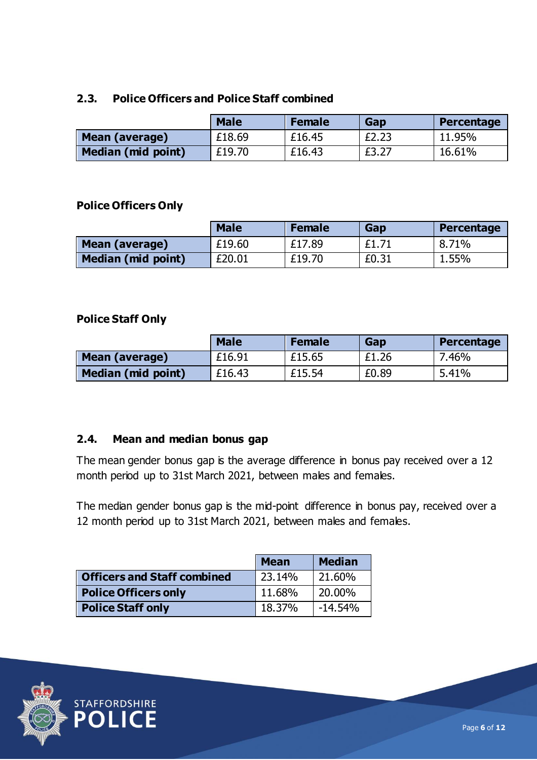#### **2.3. Police Officers and Police Staff combined**

|                           | <b>Male</b> | <b>Female</b> | Gap   | Percentage |
|---------------------------|-------------|---------------|-------|------------|
| <b>Mean (average)</b>     | £18.69      | £16.45        | £2.23 | 11.95%     |
| <b>Median (mid point)</b> | £19.70      | £16.43        | £3.27 | 16.61%     |

#### **Police Officers Only**

|                    | <b>Male</b> | <b>Female</b> | Gap   | Percentage |
|--------------------|-------------|---------------|-------|------------|
| Mean (average)     | £19.60      | £17.89        | £1.71 | 8.71%      |
| Median (mid point) | £20.01      | £19.70        | £0.31 | 1.55%      |

#### **Police Staff Only**

|                    | <b>Male</b> | <b>Female</b> | Gap   | Percentage |
|--------------------|-------------|---------------|-------|------------|
| Mean (average)     | £16.91      | £15.65        | £1.26 | 7.46%      |
| Median (mid point) | £16.43      | £15.54        | £0.89 | 5.41%      |

#### **2.4. Mean and median bonus gap**

The mean gender bonus gap is the average difference in bonus pay received over a 12 month period up to 31st March 2021, between males and females.

The median gender bonus gap is the mid-point difference in bonus pay, received over a 12 month period up to 31st March 2021, between males and females.

|                                    | <b>Mean</b> | <b>Median</b> |
|------------------------------------|-------------|---------------|
| <b>Officers and Staff combined</b> | 23.14%      | 21.60%        |
| <b>Police Officers only</b>        | 11.68%      | 20.00%        |
| <b>Police Staff only</b>           | 18.37%      | $-14.54%$     |

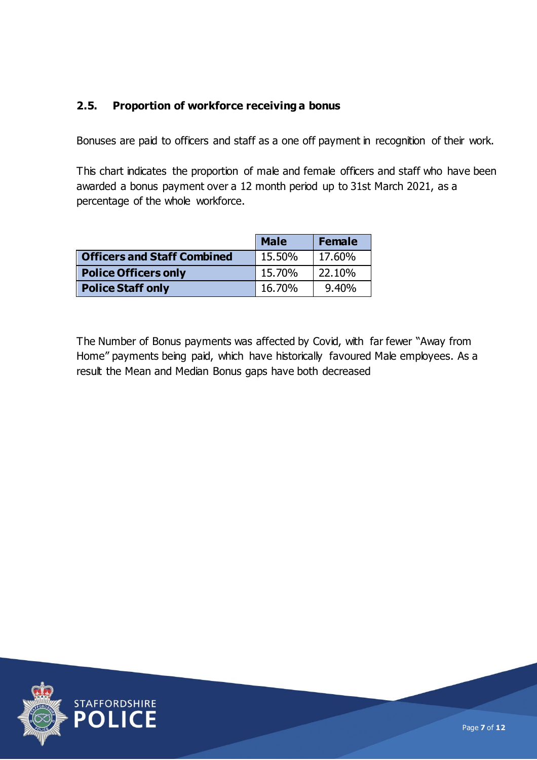### **2.5. Proportion of workforce receiving a bonus**

Bonuses are paid to officers and staff as a one off payment in recognition of their work.

This chart indicates the proportion of male and female officers and staff who have been awarded a bonus payment over a 12 month period up to 31st March 2021, as a percentage of the whole workforce.

|                                    | <b>Male</b> | Female    |
|------------------------------------|-------------|-----------|
| <b>Officers and Staff Combined</b> | 15.50%      | $17.60\%$ |
| <b>Police Officers only</b>        | 15.70%      | 22.10%    |
| <b>Police Staff only</b>           | 16.70%      | 9.40%     |

The Number of Bonus payments was affected by Covid, with far fewer "Away from Home" payments being paid, which have historically favoured Male employees. As a result the Mean and Median Bonus gaps have both decreased

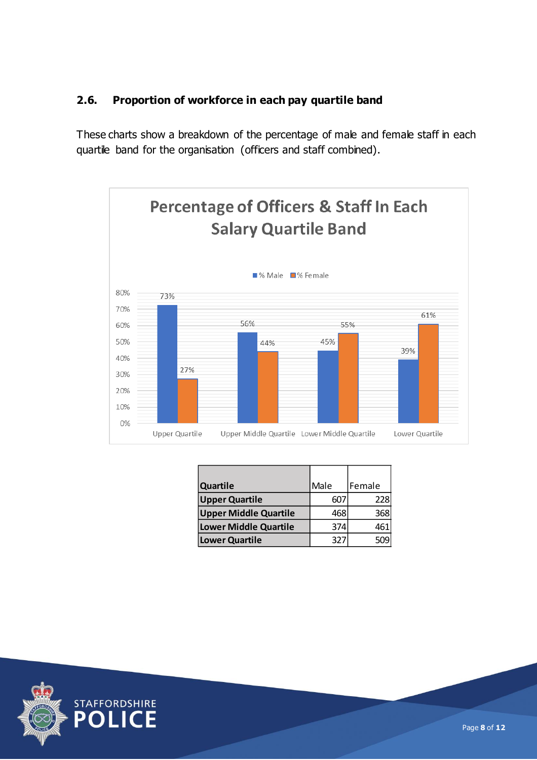#### **2.6. Proportion of workforce in each pay quartile band**

These charts show a breakdown of the percentage of male and female staff in each quartile band for the organisation (officers and staff combined).



| <b>Quartile</b>              | Male | Female |
|------------------------------|------|--------|
| <b>Upper Quartile</b>        | 607  | 228    |
| <b>Upper Middle Quartile</b> | 468  | 368    |
| Lower Middle Quartile        | 374  | 461    |
| Lower Quartile               | 327  |        |

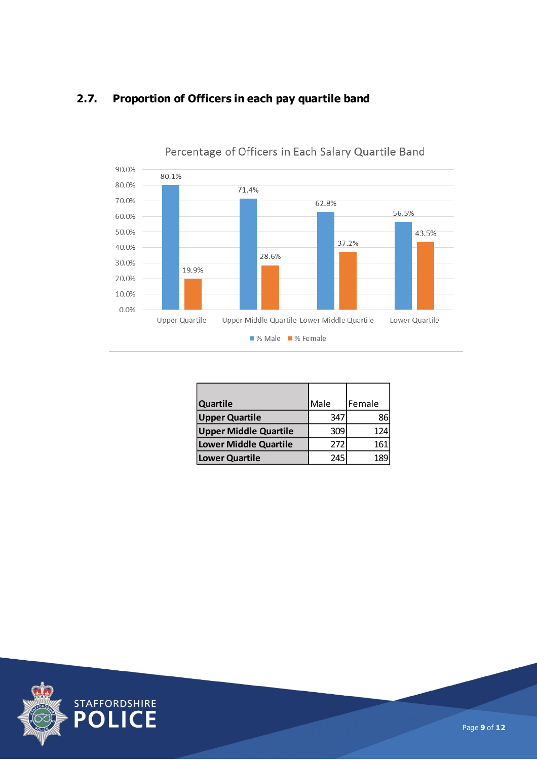

## **2.7. Proportion of Officers in each pay quartile band**

| Quartile                     | Male       | Female |
|------------------------------|------------|--------|
| <b>Upper Quartile</b>        | 347        | 86     |
| <b>Upper Middle Quartile</b> | 309        | 124    |
| <b>Lower Middle Quartile</b> | 272        | 161    |
| <b>Lower Quartile</b>        | <b>245</b> | 189    |

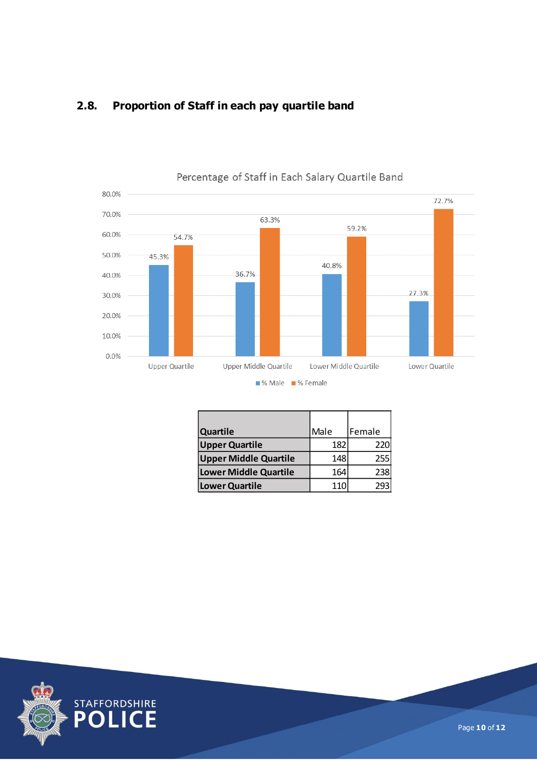



| Quartile                     | Male | Female |
|------------------------------|------|--------|
| <b>Upper Quartile</b>        | 182  | 220    |
| <b>Upper Middle Quartile</b> | 148  | 255    |
| <b>Lower Middle Quartile</b> | 164  | 238    |
| <b>Lower Quartile</b>        | 110  | 293    |

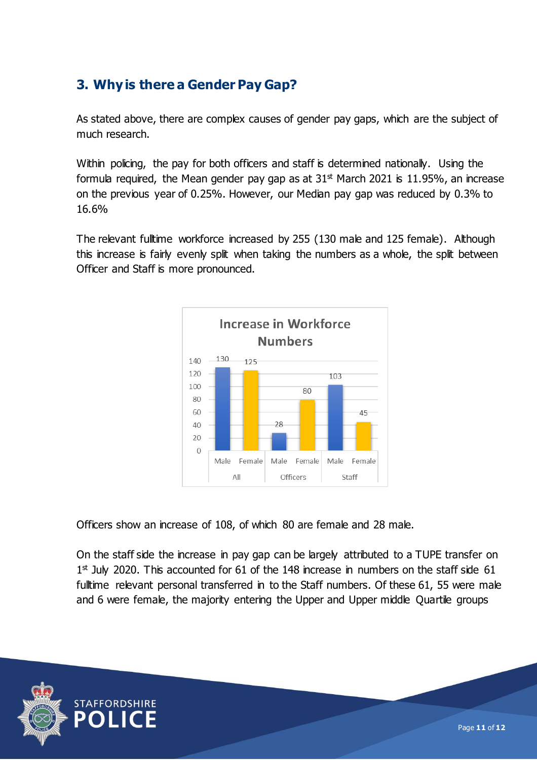# **3. Why is there a Gender Pay Gap?**

As stated above, there are complex causes of gender pay gaps, which are the subject of much research.

Within policing, the pay for both officers and staff is determined nationally. Using the formula required, the Mean gender pay gap as at  $31<sup>st</sup>$  March 2021 is 11.95%, an increase on the previous year of 0.25%. However, our Median pay gap was reduced by 0.3% to 16.6%

The relevant fulltime workforce increased by 255 (130 male and 125 female). Although this increase is fairly evenly split when taking the numbers as a whole, the split between Officer and Staff is more pronounced.



Officers show an increase of 108, of which 80 are female and 28 male.

On the staff side the increase in pay gap can be largely attributed to a TUPE transfer on  $1<sup>st</sup>$  July 2020. This accounted for 61 of the 148 increase in numbers on the staff side 61 fulltime relevant personal transferred in to the Staff numbers. Of these 61, 55 were male and 6 were female, the majority entering the Upper and Upper middle Quartile groups